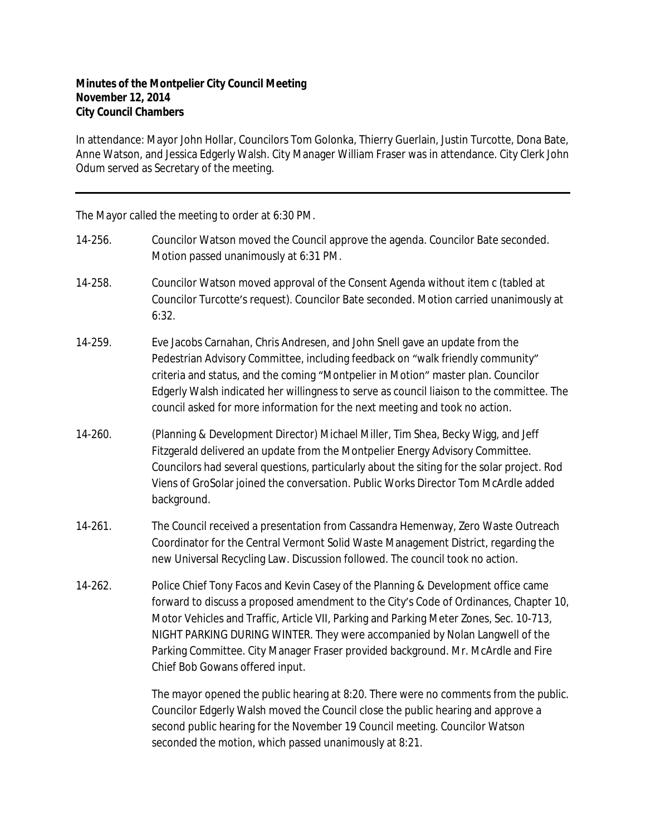## **Minutes of the Montpelier City Council Meeting November 12, 2014 City Council Chambers**

In attendance: Mayor John Hollar, Councilors Tom Golonka, Thierry Guerlain, Justin Turcotte, Dona Bate, Anne Watson, and Jessica Edgerly Walsh. City Manager William Fraser was in attendance. City Clerk John Odum served as Secretary of the meeting.

The Mayor called the meeting to order at 6:30 PM.

- 14-256. Councilor Watson moved the Council approve the agenda. Councilor Bate seconded. Motion passed unanimously at 6:31 PM.
- 14-258. Councilor Watson moved approval of the Consent Agenda without item c (tabled at Councilor Turcotte's request). Councilor Bate seconded. Motion carried unanimously at  $6:32.$
- 14-259. Eve Jacobs Carnahan, Chris Andresen, and John Snell gave an update from the Pedestrian Advisory Committee, including feedback on "walk friendly community" criteria and status, and the coming "Montpelier in Motion" master plan. Councilor Edgerly Walsh indicated her willingness to serve as council liaison to the committee. The council asked for more information for the next meeting and took no action.
- 14-260. (Planning & Development Director) Michael Miller, Tim Shea, Becky Wigg, and Jeff Fitzgerald delivered an update from the Montpelier Energy Advisory Committee. Councilors had several questions, particularly about the siting for the solar project. Rod Viens of GroSolar joined the conversation. Public Works Director Tom McArdle added background.
- 14-261. The Council received a presentation from Cassandra Hemenway, Zero Waste Outreach Coordinator for the Central Vermont Solid Waste Management District, regarding the new Universal Recycling Law. Discussion followed. The council took no action.
- 14-262. Police Chief Tony Facos and Kevin Casey of the Planning & Development office came forward to discuss a proposed amendment to the City's Code of Ordinances, Chapter 10, Motor Vehicles and Traffic, Article VII, Parking and Parking Meter Zones, Sec. 10-713, NIGHT PARKING DURING WINTER. They were accompanied by Nolan Langwell of the Parking Committee. City Manager Fraser provided background. Mr. McArdle and Fire Chief Bob Gowans offered input.

The mayor opened the public hearing at 8:20. There were no comments from the public. Councilor Edgerly Walsh moved the Council close the public hearing and approve a second public hearing for the November 19 Council meeting. Councilor Watson seconded the motion, which passed unanimously at 8:21.